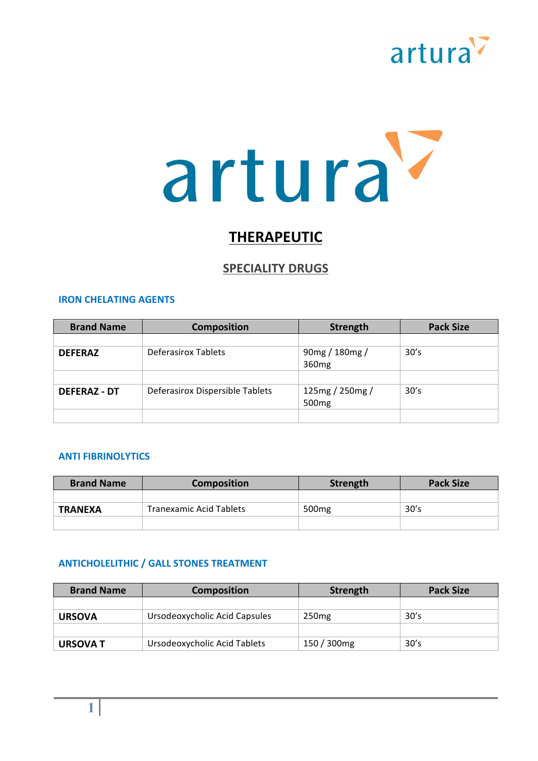

## **THERAPEUTIC**

## **SPECIALITY DRUGS**

#### **IRON CHELATING AGENTS**

| <b>Brand Name</b>   | <b>Composition</b>              | <b>Strength</b>                      | <b>Pack Size</b> |
|---------------------|---------------------------------|--------------------------------------|------------------|
|                     |                                 |                                      |                  |
| <b>DEFERAZ</b>      | Deferasirox Tablets             | 90mg / 180mg /<br>360 <sub>mg</sub>  | 30's             |
|                     |                                 |                                      |                  |
| <b>DEFERAZ - DT</b> | Deferasirox Dispersible Tablets | 125mg / 250mg /<br>500 <sub>mg</sub> | 30's             |
|                     |                                 |                                      |                  |

#### **ANTI FIBRINOLYTICS**

| <b>Brand Name</b> | <b>Composition</b>      | Strength          | <b>Pack Size</b> |
|-------------------|-------------------------|-------------------|------------------|
|                   |                         |                   |                  |
| <b>TRANEXA</b>    | Tranexamic Acid Tablets | 500 <sub>mg</sub> | 30's             |
|                   |                         |                   |                  |

#### **ANTICHOLELITHIC / GALL STONES TREATMENT**

| <b>Brand Name</b> | <b>Composition</b>            | Strength          | <b>Pack Size</b> |
|-------------------|-------------------------------|-------------------|------------------|
|                   |                               |                   |                  |
| <b>URSOVA</b>     | Ursodeoxycholic Acid Capsules | 250 <sub>mg</sub> | 30's             |
|                   |                               |                   |                  |
| <b>URSOVA T</b>   | Ursodeoxycholic Acid Tablets  | 150 / 300mg       | 30's             |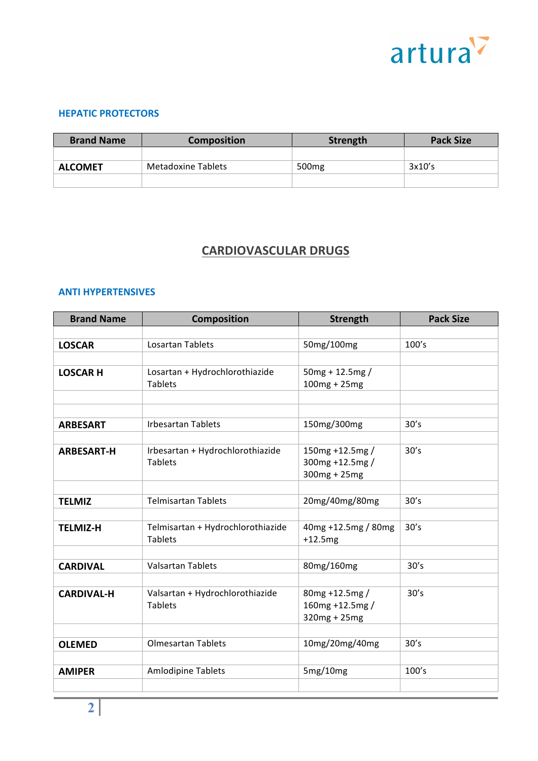

#### **HEPATIC PROTECTORS**

| <b>Brand Name</b> | <b>Composition</b> | Strength          | <b>Pack Size</b> |
|-------------------|--------------------|-------------------|------------------|
|                   |                    |                   |                  |
| <b>ALCOMET</b>    | Metadoxine Tablets | 500 <sub>mg</sub> | 3x10's           |
|                   |                    |                   |                  |

## **CARDIOVASCULAR DRUGS**

#### **ANTI HYPERTENSIVES**

| <b>Brand Name</b> | <b>Composition</b>                | <b>Strength</b>     | <b>Pack Size</b> |
|-------------------|-----------------------------------|---------------------|------------------|
|                   |                                   |                     |                  |
| <b>LOSCAR</b>     | <b>Losartan Tablets</b>           | 50mg/100mg          | 100's            |
|                   |                                   |                     |                  |
| <b>LOSCAR H</b>   | Losartan + Hydrochlorothiazide    | $50mg + 12.5mg/$    |                  |
|                   | <b>Tablets</b>                    | $100mg + 25mg$      |                  |
|                   |                                   |                     |                  |
|                   |                                   |                     |                  |
| <b>ARBESART</b>   | <b>Irbesartan Tablets</b>         | 150mg/300mg         | 30's             |
|                   |                                   |                     |                  |
| <b>ARBESART-H</b> | Irbesartan + Hydrochlorothiazide  | 150mg +12.5mg /     | 30's             |
|                   | <b>Tablets</b>                    | 300mg +12.5mg /     |                  |
|                   |                                   | 300mg + 25mg        |                  |
|                   | <b>Telmisartan Tablets</b>        | 20mg/40mg/80mg      | 30's             |
| <b>TELMIZ</b>     |                                   |                     |                  |
| <b>TELMIZ-H</b>   | Telmisartan + Hydrochlorothiazide | 40mg +12.5mg / 80mg | 30's             |
|                   | <b>Tablets</b>                    | $+12.5mg$           |                  |
|                   |                                   |                     |                  |
| <b>CARDIVAL</b>   | <b>Valsartan Tablets</b>          | 80mg/160mg          | 30's             |
|                   |                                   |                     |                  |
| <b>CARDIVAL-H</b> | Valsartan + Hydrochlorothiazide   | 80mg +12.5mg /      | 30's             |
|                   | <b>Tablets</b>                    | 160mg +12.5mg /     |                  |
|                   |                                   | 320mg + 25mg        |                  |
|                   |                                   |                     |                  |
| <b>OLEMED</b>     | <b>Olmesartan Tablets</b>         | 10mg/20mg/40mg      | 30's             |
|                   |                                   |                     |                  |
| <b>AMIPER</b>     | <b>Amlodipine Tablets</b>         | 5mg/10mg            | 100's            |
|                   |                                   |                     |                  |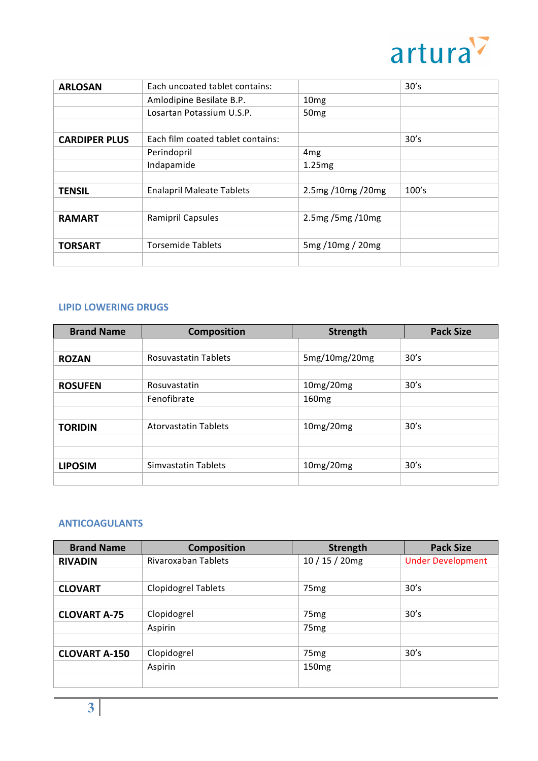

| <b>ARLOSAN</b>       | Each uncoated tablet contains:    |                   | 30's  |
|----------------------|-----------------------------------|-------------------|-------|
|                      | Amlodipine Besilate B.P.          | 10 <sub>mg</sub>  |       |
|                      | Losartan Potassium U.S.P.         | 50 <sub>mg</sub>  |       |
|                      |                                   |                   |       |
| <b>CARDIPER PLUS</b> | Each film coated tablet contains: |                   | 30's  |
|                      | Perindopril                       | 4 <sub>mg</sub>   |       |
|                      | Indapamide                        | 1.25mg            |       |
|                      |                                   |                   |       |
| <b>TENSIL</b>        | <b>Enalapril Maleate Tablets</b>  | 2.5mg /10mg /20mg | 100's |
|                      |                                   |                   |       |
| <b>RAMART</b>        | Ramipril Capsules                 | 2.5mg/5mg/10mg    |       |
|                      |                                   |                   |       |
| <b>TORSART</b>       | <b>Torsemide Tablets</b>          | 5mg /10mg / 20mg  |       |
|                      |                                   |                   |       |

#### **LIPID LOWERING DRUGS**

| <b>Brand Name</b> | <b>Composition</b>          | <b>Strength</b>   | <b>Pack Size</b> |
|-------------------|-----------------------------|-------------------|------------------|
|                   |                             |                   |                  |
| <b>ROZAN</b>      | <b>Rosuvastatin Tablets</b> | 5mg/10mg/20mg     | 30's             |
|                   |                             |                   |                  |
| <b>ROSUFEN</b>    | Rosuvastatin                | 10mg/20mg         | 30's             |
|                   | Fenofibrate                 | 160 <sub>mg</sub> |                  |
|                   |                             |                   |                  |
| <b>TORIDIN</b>    | <b>Atorvastatin Tablets</b> | 10mg/20mg         | 30's             |
|                   |                             |                   |                  |
|                   |                             |                   |                  |
| <b>LIPOSIM</b>    | Simvastatin Tablets         | 10mg/20mg         | 30's             |
|                   |                             |                   |                  |

## **ANTICOAGULANTS**

| <b>Brand Name</b>    | <b>Composition</b>         | Strength          | <b>Pack Size</b>         |
|----------------------|----------------------------|-------------------|--------------------------|
| <b>RIVADIN</b>       | Rivaroxaban Tablets        | $10/15/20$ mg     | <b>Under Development</b> |
|                      |                            |                   |                          |
| <b>CLOVART</b>       | <b>Clopidogrel Tablets</b> | 75 <sub>mg</sub>  | 30's                     |
|                      |                            |                   |                          |
| <b>CLOVART A-75</b>  | Clopidogrel                | 75 <sub>mg</sub>  | 30's                     |
|                      | Aspirin                    | 75 <sub>mg</sub>  |                          |
|                      |                            |                   |                          |
| <b>CLOVART A-150</b> | Clopidogrel                | 75 <sub>mg</sub>  | 30's                     |
|                      | Aspirin                    | 150 <sub>mg</sub> |                          |
|                      |                            |                   |                          |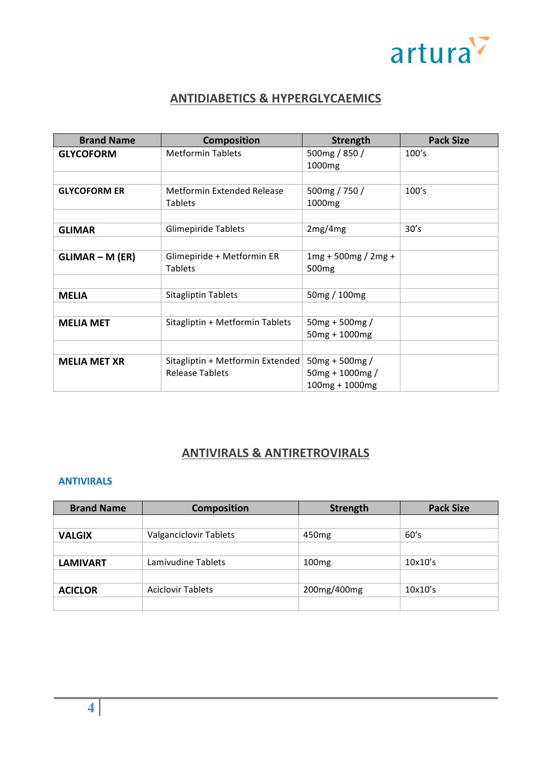

## **ANTIDIABETICS & HYPERGLYCAEMICS**

| <b>Brand Name</b>   | <b>Composition</b>               | <b>Strength</b>                     | <b>Pack Size</b> |
|---------------------|----------------------------------|-------------------------------------|------------------|
| <b>GLYCOFORM</b>    | <b>Metformin Tablets</b>         | 500mg / 850 /<br>1000 <sub>mg</sub> | 100's            |
|                     |                                  |                                     |                  |
| <b>GLYCOFORM ER</b> | Metformin Extended Release       | 500mg / 750 /                       | 100's            |
|                     | <b>Tablets</b>                   | 1000mg                              |                  |
|                     |                                  |                                     |                  |
| <b>GLIMAR</b>       | <b>Glimepiride Tablets</b>       | 2mg/4mg                             | 30's             |
|                     |                                  |                                     |                  |
| $GLIMAR - M (ER)$   | Glimepiride + Metformin ER       | $1mg + 500mg / 2mg +$               |                  |
|                     | <b>Tablets</b>                   | 500 <sub>mg</sub>                   |                  |
|                     |                                  |                                     |                  |
| <b>MELIA</b>        | <b>Sitagliptin Tablets</b>       | 50mg / 100mg                        |                  |
|                     |                                  |                                     |                  |
| <b>MELIA MET</b>    | Sitagliptin + Metformin Tablets  | $50mg + 500mg /$                    |                  |
|                     |                                  | $50mg + 1000mg$                     |                  |
|                     |                                  |                                     |                  |
| <b>MELIA MET XR</b> | Sitagliptin + Metformin Extended | $50mg + 500mg /$                    |                  |
|                     | Release Tablets                  | $50mg + 1000mg /$                   |                  |
|                     |                                  | $100mg + 1000mg$                    |                  |

## **ANTIVIRALS & ANTIRETROVIRALS**

## **ANTIVIRALS**

| <b>Brand Name</b> | <b>Composition</b>       | Strength          | <b>Pack Size</b> |
|-------------------|--------------------------|-------------------|------------------|
|                   |                          |                   |                  |
| <b>VALGIX</b>     | Valganciclovir Tablets   | 450 <sub>mg</sub> | 60's             |
|                   |                          |                   |                  |
| <b>LAMIVART</b>   | Lamivudine Tablets       | 100mg             | 10x10's          |
|                   |                          |                   |                  |
| <b>ACICLOR</b>    | <b>Aciclovir Tablets</b> | 200mg/400mg       | 10x10's          |
|                   |                          |                   |                  |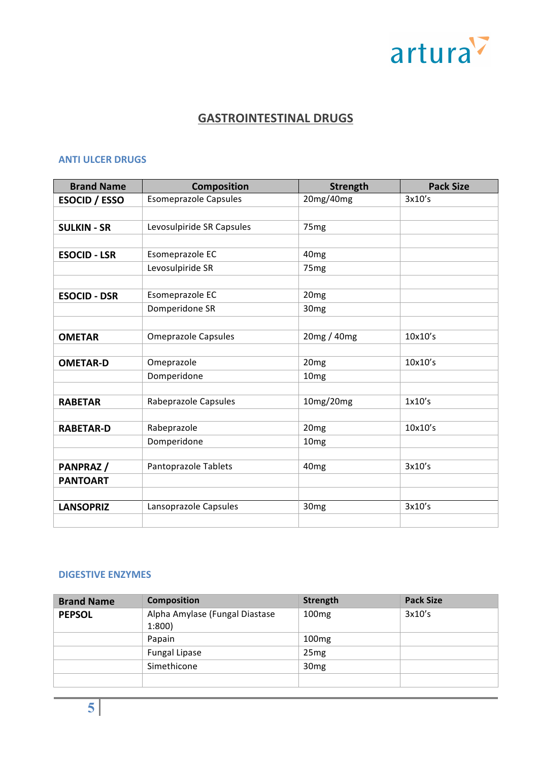

## **GASTROINTESTINAL DRUGS**

## **ANTI ULCER DRUGS**

| <b>Brand Name</b>    | <b>Composition</b>           | <b>Strength</b>  | <b>Pack Size</b> |
|----------------------|------------------------------|------------------|------------------|
| <b>ESOCID / ESSO</b> | <b>Esomeprazole Capsules</b> | 20mg/40mg        | 3x10's           |
|                      |                              |                  |                  |
| <b>SULKIN - SR</b>   | Levosulpiride SR Capsules    | 75 <sub>mg</sub> |                  |
|                      |                              |                  |                  |
| <b>ESOCID - LSR</b>  | Esomeprazole EC              | 40 <sub>mg</sub> |                  |
|                      | Levosulpiride SR             | 75 <sub>mg</sub> |                  |
|                      |                              |                  |                  |
| <b>ESOCID - DSR</b>  | Esomeprazole EC              | 20 <sub>mg</sub> |                  |
|                      | Domperidone SR               | 30 <sub>mg</sub> |                  |
|                      |                              |                  |                  |
| <b>OMETAR</b>        | <b>Omeprazole Capsules</b>   | 20mg / 40mg      | 10x10's          |
|                      |                              |                  |                  |
| <b>OMETAR-D</b>      | Omeprazole                   | 20 <sub>mg</sub> | 10x10's          |
|                      | Domperidone                  | 10 <sub>mg</sub> |                  |
|                      |                              |                  |                  |
| <b>RABETAR</b>       | Rabeprazole Capsules         | 10mg/20mg        | 1x10's           |
|                      |                              |                  |                  |
| <b>RABETAR-D</b>     | Rabeprazole                  | 20 <sub>mg</sub> | 10x10's          |
|                      | Domperidone                  | 10 <sub>mg</sub> |                  |
|                      |                              |                  |                  |
| PANPRAZ/             | Pantoprazole Tablets         | 40 <sub>mg</sub> | 3x10's           |
| <b>PANTOART</b>      |                              |                  |                  |
|                      |                              |                  |                  |
| <b>LANSOPRIZ</b>     | Lansoprazole Capsules        | 30 <sub>mg</sub> | 3x10's           |
|                      |                              |                  |                  |

#### **DIGESTIVE ENZYMES**

| <b>Brand Name</b> | <b>Composition</b>                      | <b>Strength</b>   | <b>Pack Size</b> |
|-------------------|-----------------------------------------|-------------------|------------------|
| <b>PEPSOL</b>     | Alpha Amylase (Fungal Diastase<br>1:800 | 100 <sub>mg</sub> | 3x10's           |
|                   | Papain                                  | 100 <sub>mg</sub> |                  |
|                   | <b>Fungal Lipase</b>                    | 25 <sub>mg</sub>  |                  |
|                   | Simethicone                             | 30 <sub>mg</sub>  |                  |
|                   |                                         |                   |                  |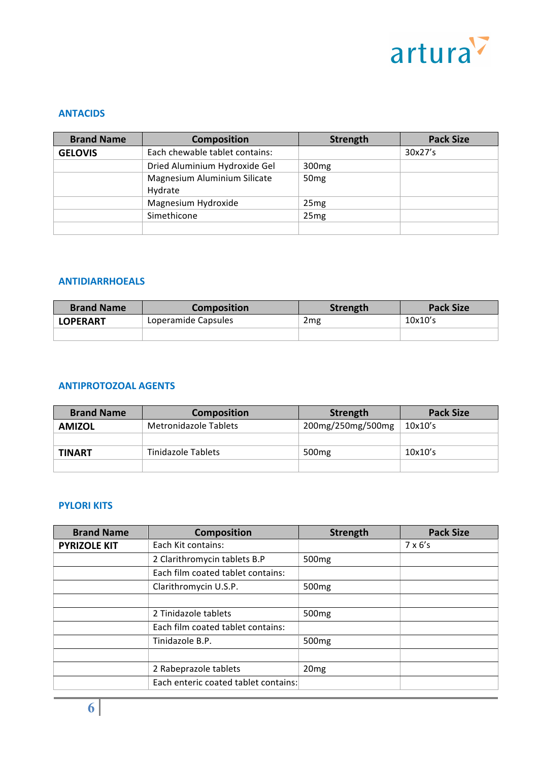

#### **ANTACIDS**

| <b>Brand Name</b> | <b>Composition</b>             | <b>Strength</b>   | <b>Pack Size</b> |
|-------------------|--------------------------------|-------------------|------------------|
| <b>GELOVIS</b>    | Each chewable tablet contains: |                   | 30x27's          |
|                   | Dried Aluminium Hydroxide Gel  | 300 <sub>mg</sub> |                  |
|                   | Magnesium Aluminium Silicate   | 50 <sub>mg</sub>  |                  |
|                   | Hydrate<br>Magnesium Hydroxide | 25 <sub>mg</sub>  |                  |
|                   | Simethicone                    | 25 <sub>mg</sub>  |                  |
|                   |                                |                   |                  |

#### **ANTIDIARRHOEALS**

| <b>Brand Name</b> | <b>Composition</b>  | <b>Strength</b> | <b>Pack Size</b> |
|-------------------|---------------------|-----------------|------------------|
| <b>LOPERART</b>   | Loperamide Capsules | 2 <sub>mg</sub> | 10x10's          |
|                   |                     |                 |                  |

#### **ANTIPROTOZOAL AGENTS**

| <b>Brand Name</b> | <b>Composition</b>    | Strength          | <b>Pack Size</b> |
|-------------------|-----------------------|-------------------|------------------|
| <b>AMIZOL</b>     | Metronidazole Tablets | 200mg/250mg/500mg | 10x10's          |
|                   |                       |                   |                  |
| TINART            | Tinidazole Tablets    | 500 <sub>mg</sub> | 10x10's          |
|                   |                       |                   |                  |

#### **PYLORI KITS**

| <b>Brand Name</b>   | <b>Composition</b>                   | Strength          | <b>Pack Size</b> |
|---------------------|--------------------------------------|-------------------|------------------|
| <b>PYRIZOLE KIT</b> | Each Kit contains:                   |                   | $7 \times 6$ 's  |
|                     | 2 Clarithromycin tablets B.P         | 500 <sub>mg</sub> |                  |
|                     | Each film coated tablet contains:    |                   |                  |
|                     | Clarithromycin U.S.P.                | 500 <sub>mg</sub> |                  |
|                     |                                      |                   |                  |
|                     | 2 Tinidazole tablets                 | 500 <sub>mg</sub> |                  |
|                     | Each film coated tablet contains:    |                   |                  |
|                     | Tinidazole B.P.                      | 500 <sub>mg</sub> |                  |
|                     |                                      |                   |                  |
|                     | 2 Rabeprazole tablets                | 20 <sub>mg</sub>  |                  |
|                     | Each enteric coated tablet contains: |                   |                  |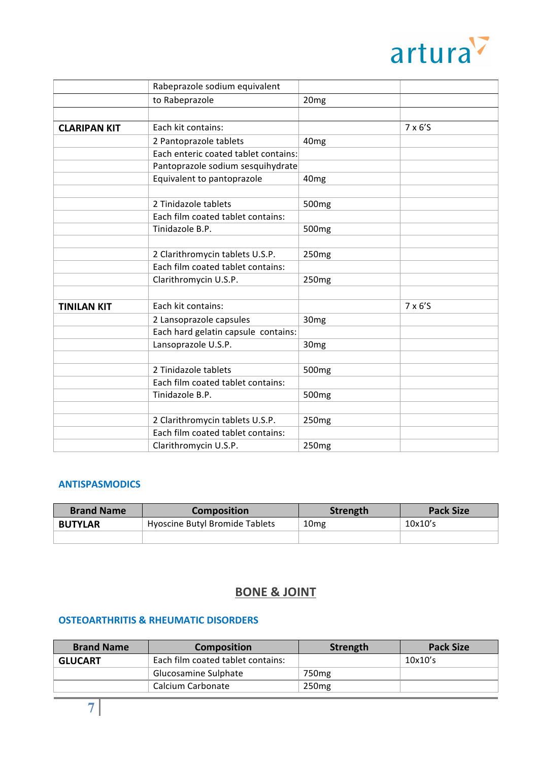

|                     | Rabeprazole sodium equivalent        |                   |                |
|---------------------|--------------------------------------|-------------------|----------------|
|                     | to Rabeprazole                       | 20 <sub>mg</sub>  |                |
|                     |                                      |                   |                |
| <b>CLARIPAN KIT</b> | Each kit contains:                   |                   | $7 \times 6'S$ |
|                     | 2 Pantoprazole tablets               | 40 <sub>mg</sub>  |                |
|                     | Each enteric coated tablet contains: |                   |                |
|                     | Pantoprazole sodium sesquihydrate    |                   |                |
|                     | Equivalent to pantoprazole           | 40 <sub>mg</sub>  |                |
|                     |                                      |                   |                |
|                     | 2 Tinidazole tablets                 | 500 <sub>mg</sub> |                |
|                     | Each film coated tablet contains:    |                   |                |
|                     | Tinidazole B.P.                      | 500 <sub>mg</sub> |                |
|                     |                                      |                   |                |
|                     | 2 Clarithromycin tablets U.S.P.      | 250 <sub>mg</sub> |                |
|                     | Each film coated tablet contains:    |                   |                |
|                     | Clarithromycin U.S.P.                | 250 <sub>mg</sub> |                |
|                     |                                      |                   |                |
| <b>TINILAN KIT</b>  | Each kit contains:                   |                   | $7 \times 6'S$ |
|                     | 2 Lansoprazole capsules              | 30 <sub>mg</sub>  |                |
|                     | Each hard gelatin capsule contains:  |                   |                |
|                     | Lansoprazole U.S.P.                  | 30 <sub>mg</sub>  |                |
|                     |                                      |                   |                |
|                     | 2 Tinidazole tablets                 | 500 <sub>mg</sub> |                |
|                     | Each film coated tablet contains:    |                   |                |
|                     | Tinidazole B.P.                      | 500 <sub>mg</sub> |                |
|                     |                                      |                   |                |
|                     | 2 Clarithromycin tablets U.S.P.      | 250 <sub>mg</sub> |                |
|                     | Each film coated tablet contains:    |                   |                |
|                     | Clarithromycin U.S.P.                | 250 <sub>mg</sub> |                |

## **ANTISPASMODICS**

| <b>Brand Name</b> | <b>Composition</b>             | Strength         | <b>Pack Size</b> |
|-------------------|--------------------------------|------------------|------------------|
| <b>BUTYLAR</b>    | Hyoscine Butyl Bromide Tablets | 10 <sub>mg</sub> | 10x10's          |
|                   |                                |                  |                  |

## **BONE & JOINT**

## **OSTEOARTHRITIS & RHEUMATIC DISORDERS**

| <b>Brand Name</b> | <b>Composition</b>                | Strength          | <b>Pack Size</b> |
|-------------------|-----------------------------------|-------------------|------------------|
| <b>GLUCART</b>    | Each film coated tablet contains: |                   | $10x10$ 's       |
|                   | Glucosamine Sulphate              | 750 <sub>mg</sub> |                  |
|                   | Calcium Carbonate                 | 250 <sub>mg</sub> |                  |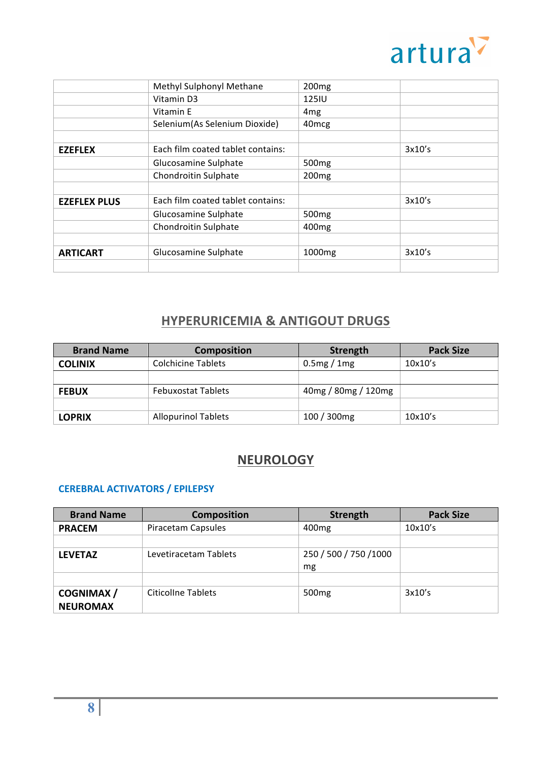

|                     | Methyl Sulphonyl Methane          | 200 <sub>mg</sub>  |        |
|---------------------|-----------------------------------|--------------------|--------|
|                     | Vitamin D3                        | 125IU              |        |
|                     | Vitamin E                         | 4 <sub>mg</sub>    |        |
|                     | Selenium (As Selenium Dioxide)    | 40 <sub>mcg</sub>  |        |
|                     |                                   |                    |        |
| <b>EZEFLEX</b>      | Each film coated tablet contains: |                    | 3x10's |
|                     | Glucosamine Sulphate              | 500 <sub>mg</sub>  |        |
|                     | Chondroitin Sulphate              | 200 <sub>mg</sub>  |        |
|                     |                                   |                    |        |
| <b>EZEFLEX PLUS</b> | Each film coated tablet contains: |                    | 3x10's |
|                     | Glucosamine Sulphate              | 500 <sub>mg</sub>  |        |
|                     | Chondroitin Sulphate              | 400 <sub>mg</sub>  |        |
|                     |                                   |                    |        |
| <b>ARTICART</b>     | Glucosamine Sulphate              | 1000 <sub>mg</sub> | 3x10's |
|                     |                                   |                    |        |

## **HYPERURICEMIA & ANTIGOUT DRUGS**

| <b>Brand Name</b> | <b>Composition</b>         | Strength            | <b>Pack Size</b> |
|-------------------|----------------------------|---------------------|------------------|
| <b>COLINIX</b>    | Colchicine Tablets         | 0.5mg/1mg           | 10x10's          |
|                   |                            |                     |                  |
| <b>FEBUX</b>      | <b>Febuxostat Tablets</b>  | 40mg / 80mg / 120mg |                  |
|                   |                            |                     |                  |
| <b>LOPRIX</b>     | <b>Allopurinol Tablets</b> | 100 / 300mg         | 10x10's          |

## **NEUROLOGY**

## **CEREBRAL ACTIVATORS / EPILEPSY**

| <b>Brand Name</b> | <b>Composition</b>    | <b>Strength</b>        | <b>Pack Size</b> |
|-------------------|-----------------------|------------------------|------------------|
| <b>PRACEM</b>     | Piracetam Capsules    | 400 <sub>mg</sub>      | 10x10's          |
|                   |                       |                        |                  |
| <b>LEVETAZ</b>    | Levetiracetam Tablets | 250 / 500 / 750 / 1000 |                  |
|                   |                       | mg                     |                  |
|                   |                       |                        |                  |
| <b>COGNIMAX</b> / | Citicoline Tablets    | 500 <sub>mg</sub>      | 3x10's           |
| <b>NEUROMAX</b>   |                       |                        |                  |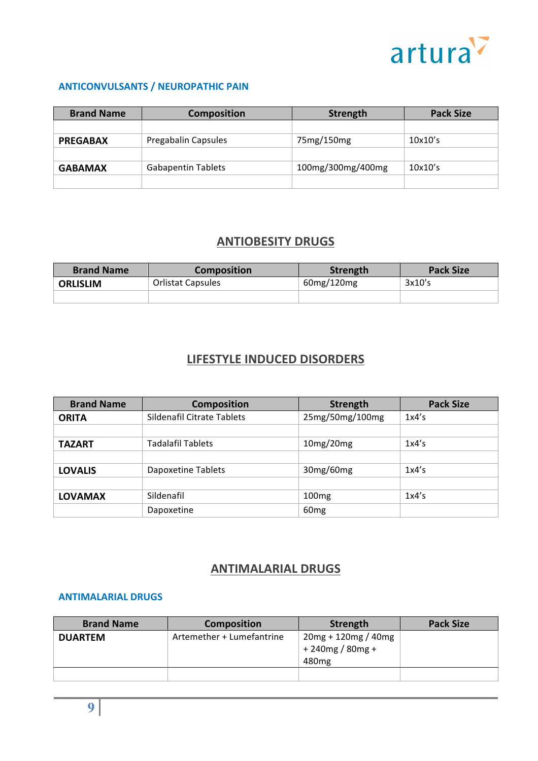

## **ANTICONVULSANTS / NEUROPATHIC PAIN**

| <b>Brand Name</b> | <b>Composition</b>        | Strength          | <b>Pack Size</b> |
|-------------------|---------------------------|-------------------|------------------|
|                   |                           |                   |                  |
| <b>PREGABAX</b>   | Pregabalin Capsules       | 75mg/150mg        | $10x10$ 's       |
|                   |                           |                   |                  |
| <b>GABAMAX</b>    | <b>Gabapentin Tablets</b> | 100mg/300mg/400mg | $10x10$ 's       |
|                   |                           |                   |                  |

## **ANTIOBESITY DRUGS**

| <b>Brand Name</b> | <b>Composition</b>       | Strength   | <b>Pack Size</b> |
|-------------------|--------------------------|------------|------------------|
| <b>ORLISLIM</b>   | <b>Orlistat Capsules</b> | 60mg/120mg | 3x10's           |
|                   |                          |            |                  |

## **LIFESTYLE INDUCED DISORDERS**

| <b>Brand Name</b> | <b>Composition</b>         | <b>Strength</b>   | <b>Pack Size</b> |
|-------------------|----------------------------|-------------------|------------------|
| <b>ORITA</b>      | Sildenafil Citrate Tablets | 25mg/50mg/100mg   | 1x4's            |
|                   |                            |                   |                  |
| <b>TAZART</b>     | <b>Tadalafil Tablets</b>   | 10mg/20mg         | 1x4's            |
|                   |                            |                   |                  |
| <b>LOVALIS</b>    | <b>Dapoxetine Tablets</b>  | 30mg/60mg         | 1x4's            |
|                   |                            |                   |                  |
| <b>LOVAMAX</b>    | Sildenafil                 | 100 <sub>mg</sub> | 1x4's            |
|                   | Dapoxetine                 | 60 <sub>mg</sub>  |                  |

## **ANTIMALARIAL DRUGS**

#### **ANTIMALARIAL DRUGS**

| <b>Brand Name</b> | <b>Composition</b>        | Strength                                                         | <b>Pack Size</b> |
|-------------------|---------------------------|------------------------------------------------------------------|------------------|
| <b>DUARTEM</b>    | Artemether + Lumefantrine | $20mg + 120mg / 40mg$<br>$+240$ mg / 80mg +<br>480 <sub>mg</sub> |                  |
|                   |                           |                                                                  |                  |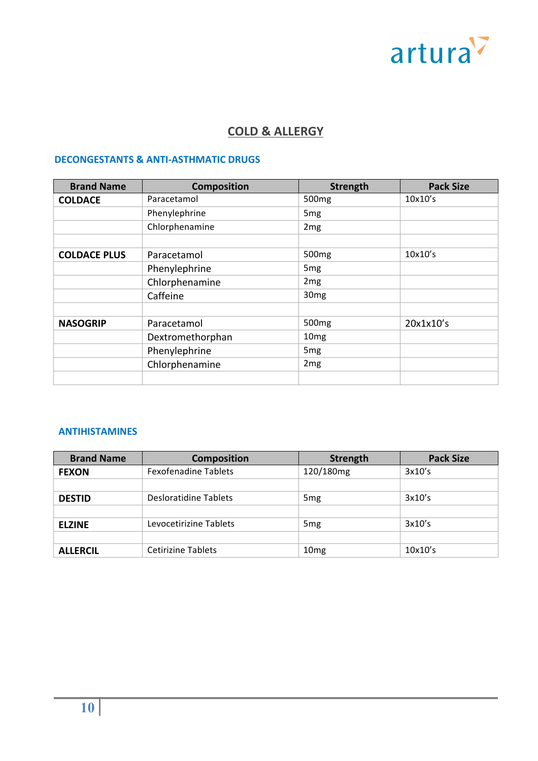# artura

## **COLD & ALLERGY**

## **DECONGESTANTS & ANTI-ASTHMATIC DRUGS**

| <b>Brand Name</b>   | <b>Composition</b> | <b>Strength</b>   | <b>Pack Size</b> |
|---------------------|--------------------|-------------------|------------------|
| <b>COLDACE</b>      | Paracetamol        | 500 <sub>mg</sub> | 10x10's          |
|                     | Phenylephrine      | 5 <sub>mg</sub>   |                  |
|                     | Chlorphenamine     | 2mg               |                  |
|                     |                    |                   |                  |
| <b>COLDACE PLUS</b> | Paracetamol        | 500 <sub>mg</sub> | 10x10's          |
|                     | Phenylephrine      | 5 <sub>mg</sub>   |                  |
|                     | Chlorphenamine     | 2 <sub>mg</sub>   |                  |
|                     | Caffeine           | 30 <sub>mg</sub>  |                  |
|                     |                    |                   |                  |
| <b>NASOGRIP</b>     | Paracetamol        | 500 <sub>mg</sub> | 20x1x10's        |
|                     | Dextromethorphan   | 10 <sub>mg</sub>  |                  |
|                     | Phenylephrine      | 5 <sub>mg</sub>   |                  |
|                     | Chlorphenamine     | 2 <sub>mg</sub>   |                  |
|                     |                    |                   |                  |

## **ANTIHISTAMINES**

| <b>Brand Name</b> | <b>Composition</b>          | <b>Strength</b>  | <b>Pack Size</b> |
|-------------------|-----------------------------|------------------|------------------|
| <b>FEXON</b>      | <b>Fexofenadine Tablets</b> | 120/180mg        | 3x10's           |
|                   |                             |                  |                  |
| <b>DESTID</b>     | Desloratidine Tablets       | 5 <sub>mg</sub>  | 3x10's           |
|                   |                             |                  |                  |
| <b>ELZINE</b>     | Levocetirizine Tablets      | 5 <sub>mg</sub>  | 3x10's           |
|                   |                             |                  |                  |
| <b>ALLERCIL</b>   | <b>Cetirizine Tablets</b>   | 10 <sub>mg</sub> | 10x10's          |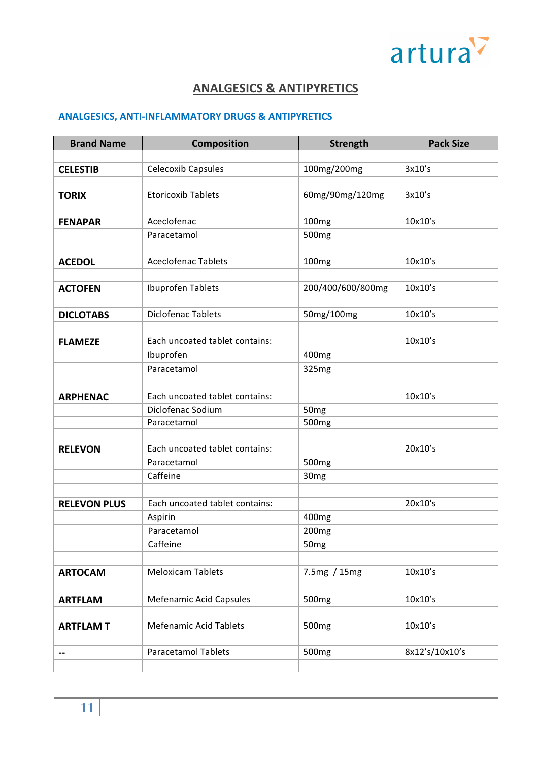

## **ANALGESICS & ANTIPYRETICS**

## **ANALGESICS, ANTI-INFLAMMATORY DRUGS & ANTIPYRETICS**

| <b>Brand Name</b>   | <b>Composition</b>             | <b>Strength</b>   | <b>Pack Size</b> |
|---------------------|--------------------------------|-------------------|------------------|
|                     |                                |                   |                  |
| <b>CELESTIB</b>     | <b>Celecoxib Capsules</b>      | 100mg/200mg       | 3x10's           |
|                     |                                |                   |                  |
| <b>TORIX</b>        | <b>Etoricoxib Tablets</b>      | 60mg/90mg/120mg   | 3x10's           |
|                     |                                |                   |                  |
| <b>FENAPAR</b>      | Aceclofenac                    | 100 <sub>mg</sub> | 10x10's          |
|                     | Paracetamol                    | 500 <sub>mg</sub> |                  |
|                     |                                |                   |                  |
| <b>ACEDOL</b>       | <b>Aceclofenac Tablets</b>     | 100 <sub>mg</sub> | 10x10's          |
|                     |                                |                   |                  |
| <b>ACTOFEN</b>      | Ibuprofen Tablets              | 200/400/600/800mg | 10x10's          |
|                     |                                |                   |                  |
| <b>DICLOTABS</b>    | <b>Diclofenac Tablets</b>      | 50mg/100mg        | 10x10's          |
|                     |                                |                   |                  |
| <b>FLAMEZE</b>      | Each uncoated tablet contains: |                   | 10x10's          |
|                     | Ibuprofen                      | 400 <sub>mg</sub> |                  |
|                     | Paracetamol                    | 325mg             |                  |
|                     |                                |                   |                  |
| <b>ARPHENAC</b>     | Each uncoated tablet contains: |                   | 10x10's          |
|                     | Diclofenac Sodium              | 50 <sub>mg</sub>  |                  |
|                     | Paracetamol                    | 500 <sub>mg</sub> |                  |
|                     |                                |                   |                  |
| <b>RELEVON</b>      | Each uncoated tablet contains: |                   | 20x10's          |
|                     | Paracetamol                    | 500 <sub>mg</sub> |                  |
|                     | Caffeine                       | 30 <sub>mg</sub>  |                  |
|                     |                                |                   |                  |
| <b>RELEVON PLUS</b> | Each uncoated tablet contains: |                   | 20x10's          |
|                     | Aspirin                        | 400 <sub>mg</sub> |                  |
|                     | Paracetamol                    | 200 <sub>mg</sub> |                  |
|                     | Caffeine                       | 50 <sub>mg</sub>  |                  |
|                     |                                |                   |                  |
| <b>ARTOCAM</b>      | <b>Meloxicam Tablets</b>       | 7.5mg / 15mg      | 10x10's          |
|                     |                                |                   |                  |
| <b>ARTFLAM</b>      | <b>Mefenamic Acid Capsules</b> | 500 <sub>mg</sub> | 10x10's          |
|                     |                                |                   |                  |
| <b>ARTFLAMT</b>     | <b>Mefenamic Acid Tablets</b>  | 500 <sub>mg</sub> | 10x10's          |
|                     |                                |                   |                  |
| --                  | <b>Paracetamol Tablets</b>     | 500 <sub>mg</sub> | 8x12's/10x10's   |
|                     |                                |                   |                  |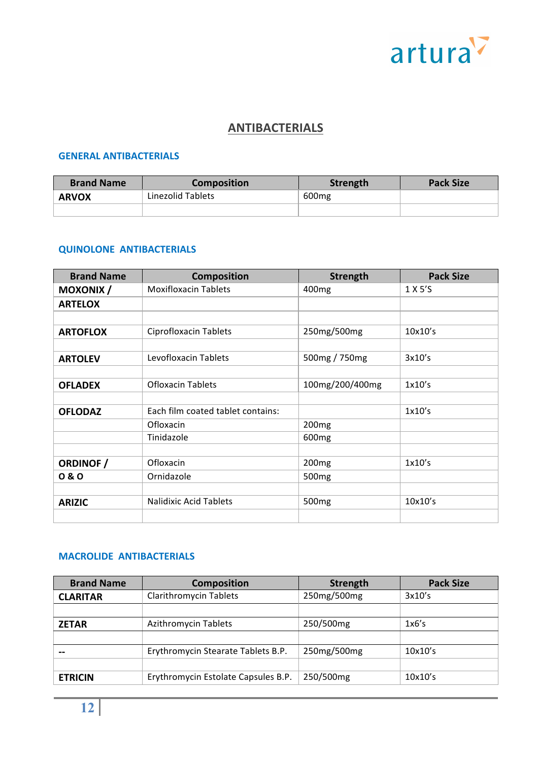

## **ANTIBACTERIALS**

#### **GENERAL ANTIBACTERIALS**

| <b>Brand Name</b> | <b>Composition</b> | Strength | <b>Pack Size</b> |
|-------------------|--------------------|----------|------------------|
| <b>ARVOX</b>      | Linezolid Tablets  | 600 mg   |                  |
|                   |                    |          |                  |

## **QUINOLONE ANTIBACTERIALS**

| <b>Brand Name</b> | <b>Composition</b>                | <b>Strength</b>   | <b>Pack Size</b> |
|-------------------|-----------------------------------|-------------------|------------------|
| <b>MOXONIX/</b>   | <b>Moxifloxacin Tablets</b>       | 400 <sub>mg</sub> | 1 X 5'S          |
| <b>ARTELOX</b>    |                                   |                   |                  |
|                   |                                   |                   |                  |
| <b>ARTOFLOX</b>   | Ciprofloxacin Tablets             | 250mg/500mg       | 10x10's          |
|                   |                                   |                   |                  |
| <b>ARTOLEV</b>    | Levofloxacin Tablets              | 500mg / 750mg     | 3x10's           |
|                   |                                   |                   |                  |
| <b>OFLADEX</b>    | <b>Ofloxacin Tablets</b>          | 100mg/200/400mg   | 1x10's           |
|                   |                                   |                   |                  |
| <b>OFLODAZ</b>    | Each film coated tablet contains: |                   | 1x10's           |
|                   | Ofloxacin                         | 200 <sub>mg</sub> |                  |
|                   | Tinidazole                        | 600 <sub>mg</sub> |                  |
|                   |                                   |                   |                  |
| <b>ORDINOF</b> /  | Ofloxacin                         | 200 <sub>mg</sub> | 1x10's           |
| 0 & 0             | Ornidazole                        | 500 <sub>mg</sub> |                  |
|                   |                                   |                   |                  |
| <b>ARIZIC</b>     | <b>Nalidixic Acid Tablets</b>     | 500 <sub>mg</sub> | 10x10's          |
|                   |                                   |                   |                  |

#### **MACROLIDE ANTIBACTERIALS**

| <b>Brand Name</b> | <b>Composition</b>                  | <b>Strength</b> | <b>Pack Size</b> |
|-------------------|-------------------------------------|-----------------|------------------|
| <b>CLARITAR</b>   | <b>Clarithromycin Tablets</b>       | 250mg/500mg     | 3x10's           |
|                   |                                     |                 |                  |
| <b>ZETAR</b>      | Azithromycin Tablets                | 250/500mg       | 1x6's            |
|                   |                                     |                 |                  |
|                   | Erythromycin Stearate Tablets B.P.  | 250mg/500mg     | 10x10's          |
|                   |                                     |                 |                  |
| <b>ETRICIN</b>    | Erythromycin Estolate Capsules B.P. | 250/500mg       | 10x10's          |